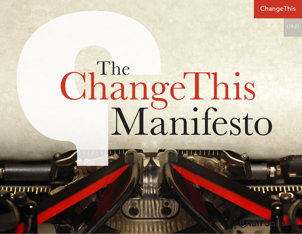ChangeThis

**Brian Solis**

# ChangeThis<br>Manifesto The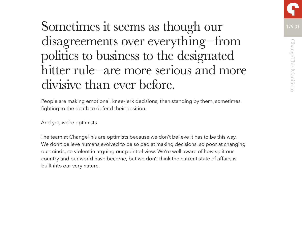# Sometimes it seems as though our 179.01 disagreements over everything–from politics to business to the designated hitter rule–are more serious and more divisive than ever before.

People are making emotional, knee-jerk decisions, then standing by them, sometimes fighting to the death to defend their position.

And yet, we're optimists.

The team at ChangeThis are optimists because we don't believe it has to be this way. We don't believe humans evolved to be so bad at making decisions, so poor at changing our minds, so violent in arguing our point of view. We're well aware of how split our country and our world have become, but we don't think the current state of affairs is built into our very nature.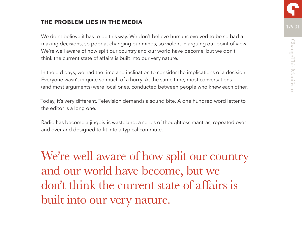## **THE PROBLEM LIES IN THE MEDIA**

We don't believe it has to be this way. We don't believe humans evolved to be so bad at making decisions, so poor at changing our minds, so violent in arguing our point of view. We're well aware of how split our country and our world have become, but we don't think the current state of affairs is built into our very nature.

In the old days, we had the time and inclination to consider the implications of a decision. Everyone wasn't in quite so much of a hurry. At the same time, most conversations (and most arguments) were local ones, conducted between people who knew each other.

Today, it's very different. Television demands a sound bite. A one hundred word letter to the editor is a long one.

Radio has become a jingoistic wasteland, a series of thoughtless mantras, repeated over and over and designed to fit into a typical commute.

We're well aware of how split our country and our world have become, but we don't think the current state of affairs is built into our very nature.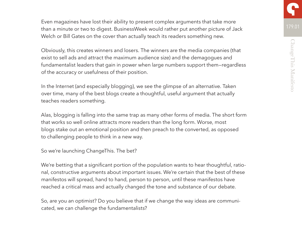Even magazines have lost their ability to present complex arguments that take more than a minute or two to digest. BusinessWeek would rather put another picture of Jack Welch or Bill Gates on the cover than actually teach its readers something new.

Obviously, this creates winners and losers. The winners are the media companies (that exist to sell ads and attract the maximum audience size) and the demagogues and fundamentalist leaders that gain in power when large numbers support them—regardless of the accuracy or usefulness of their position.

In the Internet (and especially blogging), we see the glimpse of an alternative. Taken over time, many of the best blogs create a thoughtful, useful argument that actually teaches readers something.

Alas, blogging is falling into the same trap as many other forms of media. The short form that works so well online attracts more readers than the long form. Worse, most blogs stake out an emotional position and then preach to the converted, as opposed to challenging people to think in a new way.

So we're launching ChangeThis. The bet?

We're betting that a significant portion of the population wants to hear thoughtful, rational, constructive arguments about important issues. We're certain that the best of these manifestos will spread, hand to hand, person to person, until these manifestos have reached a critical mass and actually changed the tone and substance of our debate.

So, are you an optimist? Do you believe that if we change the way ideas are communicated, we can challenge the fundamentalists?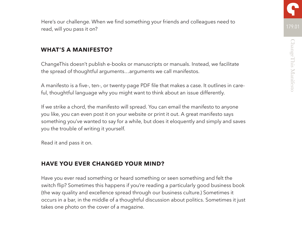

Here's our challenge. When we find something your friends and colleagues need to read, will you pass it on?

#### **WHAT'S A MANIFESTO?**

ChangeThis doesn't publish e-books or manuscripts or manuals. Instead, we facilitate the spread of thoughtful arguments…arguments we call manifestos.

A manifesto is a five-, ten-, or twenty-page PDF file that makes a case. It outlines in careful, thoughtful language why you might want to think about an issue differently.

If we strike a chord, the manifesto will spread. You can email the manifesto to anyone you like, you can even post it on your website or print it out. A great manifesto says something you've wanted to say for a while, but does it eloquently and simply and saves you the trouble of writing it yourself.

Read it and pass it on.

## **HAVE YOU EVER CHANGED YOUR MIND?**

Have you ever read something or heard something or seen something and felt the switch flip? Sometimes this happens if you're reading a particularly good business book (the way quality and excellence spread through our business culture.) Sometimes it occurs in a bar, in the middle of a thoughtful discussion about politics. Sometimes it just takes one photo on the cover of a magazine.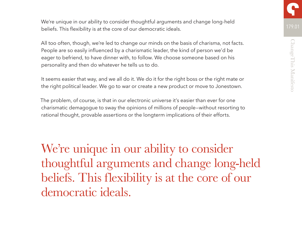We're unique in our ability to consider thoughtful arguments and change long-held beliefs. This flexibility is at the core of our democratic ideals.

All too often, though, we're led to change our minds on the basis of charisma, not facts. People are so easily influenced by a charismatic leader, the kind of person we'd be eager to befriend, to have dinner with, to follow. We choose someone based on his personality and then do whatever he tells us to do.

It seems easier that way, and we all do it. We do it for the right boss or the right mate or the right political leader. We go to war or create a new product or move to Jonestown.

The problem, of course, is that in our electronic universe it's easier than ever for one charismatic demagogue to sway the opinions of millions of people—without resorting to rational thought, provable assertions or the longterm implications of their efforts.

We're unique in our ability to consider thoughtful arguments and change long-held beliefs. This flexibility is at the core of our democratic ideals.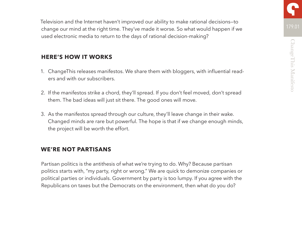Television and the Internet haven't improved our ability to make rational decisions—to change our mind at the right time. They've made it worse. So what would happen if we used electronic media to return to the days of rational decision-making?

## **HERE'S HOW IT WORKS**

- 1. ChangeThis releases manifestos. We share them with bloggers, with influential readers and with our subscribers.
- 2. If the manifestos strike a chord, they'll spread. If you don't feel moved, don't spread them. The bad ideas will just sit there. The good ones will move.
- 3. As the manifestos spread through our culture, they'll leave change in their wake. Changed minds are rare but powerful. The hope is that if we change enough minds, the project will be worth the effort.

## **WE'RE NOT PARTISANS**

Partisan politics is the antithesis of what we're trying to do. Why? Because partisan politics starts with, "my party, right or wrong." We are quick to demonize companies or political parties or individuals. Government by party is too lumpy. If you agree with the Republicans on taxes but the Democrats on the environment, then what do you do?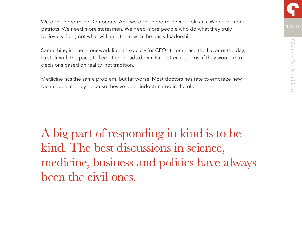We don't need more Democrats. And we don't need more Republicans. We need more patriots. We need more statesmen. We need more people who do what they truly believe is right, not what will help them with the party leadership.

Same thing is true in our work life. It's so easy for CEOs to embrace the flavor of the day, to stick with the pack, to keep their heads down. Far better, it seems, if they would make decisions based on reality, not tradition.

Medicine has the same problem, but far worse. Most doctors hesitate to embrace new techniques—merely because they've been indoctrinated in the old.

A big part of responding in kind is to be kind. The best discussions in science, medicine, business and politics have always been the civil ones.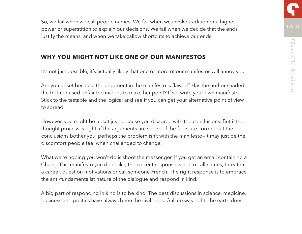So, we fail when we call people names. We fail when we invoke tradition or a higher power or superstition to explain our decisions. We fail when we decide that the ends justify the means, and when we take callow shortcuts to achieve our ends.

# **WHY YOU MIGHT NOT LIKE ONE OF OUR MANIFESTOS**

It's not just possible, it's actually likely that one or more of our manifestos will annoy you.

Are you upset because the argument in the manifesto is flawed? Has the author shaded the truth or used unfair techniques to make her point? If so, write your own manifesto. Stick to the testable and the logical and see if you can get your alternative point of view to spread.

However, you might be upset just because you disagree with the conclusions. But if the thought process is right, if the arguments are sound, if the facts are correct but the conclusions bother you, perhaps the problem isn't with the manifesto—it may just be the discomfort people feel when challenged to change.

What we're hoping you won't do is shoot the messenger. If you get an email containing a ChangeThis manifesto you don't like, the correct response is not to call names, threaten a career, question motivations or call someone French. The right response is to embrace the anti-fundamentalist nature of the dialogue and respond in kind.

A big part of responding in kind is to be kind. The best discussions in science, medicine, business and politics have always been the civil ones. Galileo was right—the earth does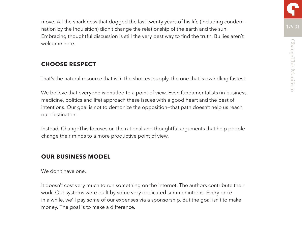move. All the snarkiness that dogged the last twenty years of his life (including condemnation by the Inquisition) didn't change the relationship of the earth and the sun. Embracing thoughtful discussion is still the very best way to find the truth. Bullies aren't welcome here.

# **CHOOSE RESPECT**

That's the natural resource that is in the shortest supply, the one that is dwindling fastest.

We believe that everyone is entitled to a point of view. Even fundamentalists (in business, medicine, politics and life) approach these issues with a good heart and the best of intentions. Our goal is not to demonize the opposition—that path doesn't help us reach our destination.

Instead, ChangeThis focuses on the rational and thoughtful arguments that help people change their minds to a more productive point of view.

## **OUR BUSINESS MODEL**

We don't have one.

It doesn't cost very much to run something on the Internet. The authors contribute their work. Our systems were built by some very dedicated summer interns. Every once in a while, we'll pay some of our expenses via a sponsorship. But the goal isn't to make money. The goal is to make a difference.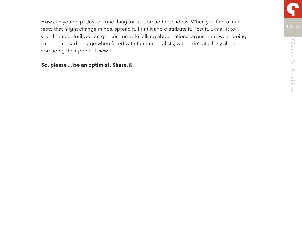How can you help? Just do one thing for us: spread these ideas. When you find a manifesto that might change minds, spread it. Print it and distribute it. Post it. E-mail it to your friends. Until we can get comfortable talking about rational arguments, we're going to be at a disadvantage when faced with fundamentalists, who aren't at all shy about spreading their point of view.

#### **So, please ... be an optimist. Share.**